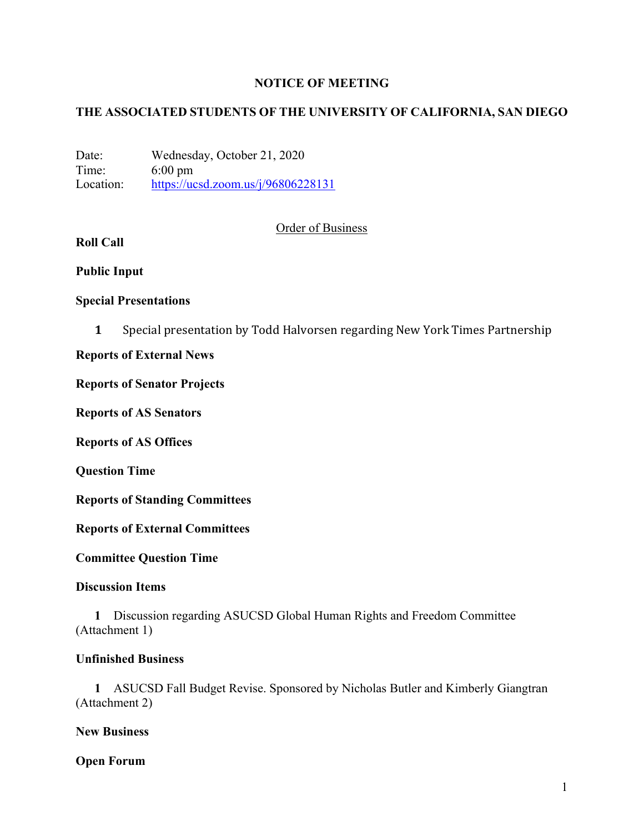# **NOTICE OF MEETING**

# **THE ASSOCIATED STUDENTS OF THE UNIVERSITY OF CALIFORNIA, SAN DIEGO**

Date: Wednesday, October 21, 2020 Time: 6:00 pm Location: https://ucsd.zoom.us/j/96806228131

## Order of Business

# **Roll Call**

### **Public Input**

## **Special Presentations**

**1** Special presentation by Todd Halvorsen regarding New York Times Partnership

## **Reports of External News**

### **Reports of Senator Projects**

**Reports of AS Senators**

**Reports of AS Offices**

**Question Time**

**Reports of Standing Committees**

**Reports of External Committees**

**Committee Question Time**

### **Discussion Items**

**1** Discussion regarding ASUCSD Global Human Rights and Freedom Committee (Attachment 1)

# **Unfinished Business**

**1** ASUCSD Fall Budget Revise. Sponsored by Nicholas Butler and Kimberly Giangtran (Attachment 2)

### **New Business**

**Open Forum**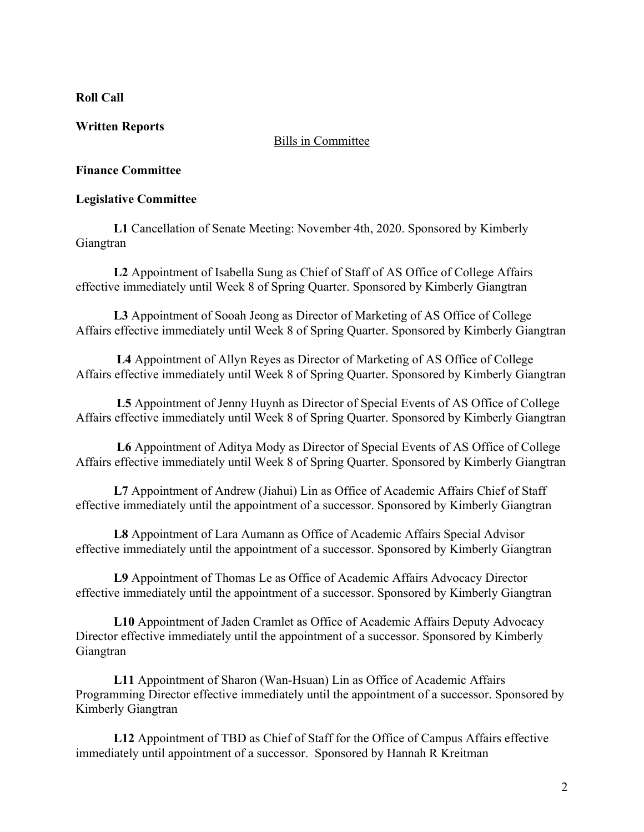# **Roll Call**

# **Written Reports**

## Bills in Committee

# **Finance Committee**

# **Legislative Committee**

**L1** Cancellation of Senate Meeting: November 4th, 2020. Sponsored by Kimberly Giangtran

**L2** Appointment of Isabella Sung as Chief of Staff of AS Office of College Affairs effective immediately until Week 8 of Spring Quarter. Sponsored by Kimberly Giangtran

**L3** Appointment of Sooah Jeong as Director of Marketing of AS Office of College Affairs effective immediately until Week 8 of Spring Quarter. Sponsored by Kimberly Giangtran

**L4** Appointment of Allyn Reyes as Director of Marketing of AS Office of College Affairs effective immediately until Week 8 of Spring Quarter. Sponsored by Kimberly Giangtran

**L5** Appointment of Jenny Huynh as Director of Special Events of AS Office of College Affairs effective immediately until Week 8 of Spring Quarter. Sponsored by Kimberly Giangtran

**L6** Appointment of Aditya Mody as Director of Special Events of AS Office of College Affairs effective immediately until Week 8 of Spring Quarter. Sponsored by Kimberly Giangtran

**L7** Appointment of Andrew (Jiahui) Lin as Office of Academic Affairs Chief of Staff effective immediately until the appointment of a successor. Sponsored by Kimberly Giangtran

**L8** Appointment of Lara Aumann as Office of Academic Affairs Special Advisor effective immediately until the appointment of a successor. Sponsored by Kimberly Giangtran

**L9** Appointment of Thomas Le as Office of Academic Affairs Advocacy Director effective immediately until the appointment of a successor. Sponsored by Kimberly Giangtran

**L10** Appointment of Jaden Cramlet as Office of Academic Affairs Deputy Advocacy Director effective immediately until the appointment of a successor. Sponsored by Kimberly Giangtran

**L11** Appointment of Sharon (Wan-Hsuan) Lin as Office of Academic Affairs Programming Director effective immediately until the appointment of a successor. Sponsored by Kimberly Giangtran

**L12** Appointment of TBD as Chief of Staff for the Office of Campus Affairs effective immediately until appointment of a successor. Sponsored by Hannah R Kreitman